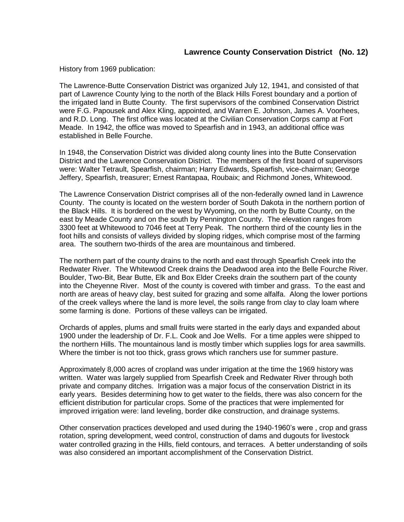## **Lawrence County Conservation District (No. 12)**

History from 1969 publication:

The Lawrence-Butte Conservation District was organized July 12, 1941, and consisted of that part of Lawrence County lying to the north of the Black Hills Forest boundary and a portion of the irrigated land in Butte County. The first supervisors of the combined Conservation District were F.G. Papousek and Alex Kling, appointed, and Warren E. Johnson, James A. Voorhees, and R.D. Long. The first office was located at the Civilian Conservation Corps camp at Fort Meade. In 1942, the office was moved to Spearfish and in 1943, an additional office was established in Belle Fourche.

In 1948, the Conservation District was divided along county lines into the Butte Conservation District and the Lawrence Conservation District. The members of the first board of supervisors were: Walter Tetrault, Spearfish, chairman; Harry Edwards, Spearfish, vice-chairman; George Jeffery, Spearfish, treasurer; Ernest Rantapaa, Roubaix; and Richmond Jones, Whitewood.

The Lawrence Conservation District comprises all of the non-federally owned land in Lawrence County. The county is located on the western border of South Dakota in the northern portion of the Black Hills. It is bordered on the west by Wyoming, on the north by Butte County, on the east by Meade County and on the south by Pennington County. The elevation ranges from 3300 feet at Whitewood to 7046 feet at Terry Peak. The northern third of the county lies in the foot hills and consists of valleys divided by sloping ridges, which comprise most of the farming area. The southern two-thirds of the area are mountainous and timbered.

The northern part of the county drains to the north and east through Spearfish Creek into the Redwater River. The Whitewood Creek drains the Deadwood area into the Belle Fourche River. Boulder, Two-Bit, Bear Butte, Elk and Box Elder Creeks drain the southern part of the county into the Cheyenne River. Most of the county is covered with timber and grass. To the east and north are areas of heavy clay, best suited for grazing and some alfalfa. Along the lower portions of the creek valleys where the land is more level, the soils range from clay to clay loam where some farming is done. Portions of these valleys can be irrigated.

Orchards of apples, plums and small fruits were started in the early days and expanded about 1900 under the leadership of Dr. F.L. Cook and Joe Wells. For a time apples were shipped to the northern Hills. The mountainous land is mostly timber which supplies logs for area sawmills. Where the timber is not too thick, grass grows which ranchers use for summer pasture.

Approximately 8,000 acres of cropland was under irrigation at the time the 1969 history was written. Water was largely supplied from Spearfish Creek and Redwater River through both private and company ditches. Irrigation was a major focus of the conservation District in its early years. Besides determining how to get water to the fields, there was also concern for the efficient distribution for particular crops. Some of the practices that were implemented for improved irrigation were: land leveling, border dike construction, and drainage systems.

Other conservation practices developed and used during the 1940-1960's were , crop and grass rotation, spring development, weed control, construction of dams and dugouts for livestock water controlled grazing in the Hills, field contours, and terraces. A better understanding of soils was also considered an important accomplishment of the Conservation District.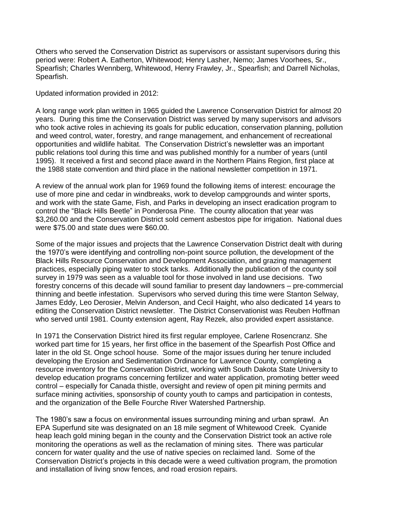Others who served the Conservation District as supervisors or assistant supervisors during this period were: Robert A. Eatherton, Whitewood; Henry Lasher, Nemo; James Voorhees, Sr., Spearfish; Charles Wennberg, Whitewood, Henry Frawley, Jr., Spearfish; and Darrell Nicholas, Spearfish.

Updated information provided in 2012:

A long range work plan written in 1965 guided the Lawrence Conservation District for almost 20 years. During this time the Conservation District was served by many supervisors and advisors who took active roles in achieving its goals for public education, conservation planning, pollution and weed control, water, forestry, and range management, and enhancement of recreational opportunities and wildlife habitat. The Conservation District's newsletter was an important public relations tool during this time and was published monthly for a number of years (until 1995). It received a first and second place award in the Northern Plains Region, first place at the 1988 state convention and third place in the national newsletter competition in 1971.

A review of the annual work plan for 1969 found the following items of interest: encourage the use of more pine and cedar in windbreaks, work to develop campgrounds and winter sports, and work with the state Game, Fish, and Parks in developing an insect eradication program to control the "Black Hills Beetle" in Ponderosa Pine. The county allocation that year was \$3,260.00 and the Conservation District sold cement asbestos pipe for irrigation. National dues were \$75.00 and state dues were \$60.00.

Some of the major issues and projects that the Lawrence Conservation District dealt with during the 1970's were identifying and controlling non-point source pollution, the development of the Black Hills Resource Conservation and Development Association, and grazing management practices, especially piping water to stock tanks. Additionally the publication of the county soil survey in 1979 was seen as a valuable tool for those involved in land use decisions. Two forestry concerns of this decade will sound familiar to present day landowners – pre-commercial thinning and beetle infestation. Supervisors who served during this time were Stanton Selway, James Eddy, Leo Derosier, Melvin Anderson, and Cecil Haight, who also dedicated 14 years to editing the Conservation District newsletter. The District Conservationist was Reuben Hoffman who served until 1981. County extension agent, Ray Rezek, also provided expert assistance.

In 1971 the Conservation District hired its first regular employee, Carlene Rosencranz. She worked part time for 15 years, her first office in the basement of the Spearfish Post Office and later in the old St. Onge school house. Some of the major issues during her tenure included developing the Erosion and Sedimentation Ordinance for Lawrence County, completing a resource inventory for the Conservation District, working with South Dakota State University to develop education programs concerning fertilizer and water application, promoting better weed control – especially for Canada thistle, oversight and review of open pit mining permits and surface mining activities, sponsorship of county youth to camps and participation in contests, and the organization of the Belle Fourche River Watershed Partnership.

The 1980's saw a focus on environmental issues surrounding mining and urban sprawl. An EPA Superfund site was designated on an 18 mile segment of Whitewood Creek. Cyanide heap leach gold mining began in the county and the Conservation District took an active role monitoring the operations as well as the reclamation of mining sites. There was particular concern for water quality and the use of native species on reclaimed land. Some of the Conservation District's projects in this decade were a weed cultivation program, the promotion and installation of living snow fences, and road erosion repairs.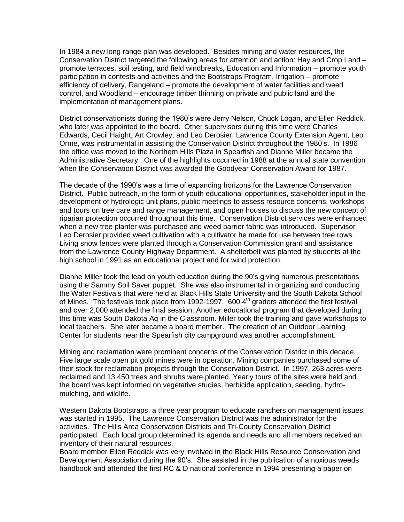In 1984 a new long range plan was developed. Besides mining and water resources, the Conservation District targeted the following areas for attention and action: Hay and Crop Land – promote terraces, soil testing, and field windbreaks, Education and Information – promote youth participation in contests and activities and the Bootstraps Program, Irrigation – promote efficiency of delivery, Rangeland – promote the development of water facilities and weed control, and Woodland – encourage timber thinning on private and public land and the implementation of management plans.

District conservationists during the 1980's were Jerry Nelson, Chuck Logan, and Ellen Reddick, who later was appointed to the board. Other supervisors during this time were Charles Edwards, Cecil Haight, Art Crowley, and Leo Derosier. Lawrence County Extension Agent, Leo Orme, was instrumental in assisting the Conservation District throughout the 1980's. In 1986 the office was moved to the Northern Hills Plaza in Spearfish and Dianne Miller became the Administrative Secretary. One of the highlights occurred in 1988 at the annual state convention when the Conservation District was awarded the Goodyear Conservation Award for 1987.

The decade of the 1990's was a time of expanding horizons for the Lawrence Conservation District. Public outreach, in the form of youth educational opportunities, stakeholder input in the development of hydrologic unit plans, public meetings to assess resource concerns, workshops and tours on tree care and range management, and open houses to discuss the new concept of riparian protection occurred throughout this time. Conservation District services were enhanced when a new tree planter was purchased and weed barrier fabric was introduced. Supervisor Leo Derosier provided weed cultivation with a cultivator he made for use between tree rows. Living snow fences were planted through a Conservation Commission grant and assistance from the Lawrence County Highway Department. A shelterbelt was planted by students at the high school in 1991 as an educational project and for wind protection.

Dianne Miller took the lead on youth education during the 90's giving numerous presentations using the Sammy Soil Saver puppet. She was also instrumental in organizing and conducting the Water Festivals that were held at Black Hills State University and the South Dakota School of Mines. The festivals took place from 1992-1997.  $600$  4<sup>th</sup> graders attended the first festival and over 2,000 attended the final session. Another educational program that developed during this time was South Dakota Ag in the Classroom. Miller took the training and gave workshops to local teachers. She later became a board member. The creation of an Outdoor Learning Center for students near the Spearfish city campground was another accomplishment.

Mining and reclamation were prominent concerns of the Conservation District in this decade. Five large scale open pit gold mines were in operation. Mining companies purchased some of their stock for reclamation projects through the Conservation District. In 1997, 263 acres were reclaimed and 13,450 trees and shrubs were planted. Yearly tours of the sites were held and the board was kept informed on vegetative studies, herbicide application, seeding, hydromulching, and wildlife.

Western Dakota Bootstraps, a three year program to educate ranchers on management issues, was started in 1995. The Lawrence Conservation District was the administrator for the activities. The Hills Area Conservation Districts and Tri-County Conservation District participated. Each local group determined its agenda and needs and all members received an inventory of their natural resources.

Board member Ellen Reddick was very involved in the Black Hills Resource Conservation and Development Association during the 90's. She assisted in the publication of a noxious weeds handbook and attended the first RC & D national conference in 1994 presenting a paper on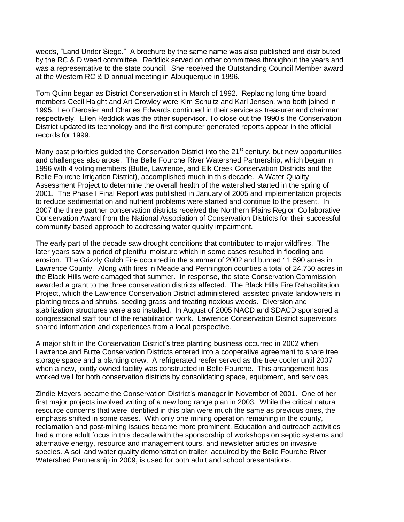weeds, "Land Under Siege." A brochure by the same name was also published and distributed by the RC & D weed committee. Reddick served on other committees throughout the years and was a representative to the state council. She received the Outstanding Council Member award at the Western RC & D annual meeting in Albuquerque in 1996.

Tom Quinn began as District Conservationist in March of 1992. Replacing long time board members Cecil Haight and Art Crowley were Kim Schultz and Karl Jensen, who both joined in 1995. Leo Derosier and Charles Edwards continued in their service as treasurer and chairman respectively. Ellen Reddick was the other supervisor. To close out the 1990's the Conservation District updated its technology and the first computer generated reports appear in the official records for 1999.

Many past priorities guided the Conservation District into the 21<sup>st</sup> century, but new opportunities and challenges also arose. The Belle Fourche River Watershed Partnership, which began in 1996 with 4 voting members (Butte, Lawrence, and Elk Creek Conservation Districts and the Belle Fourche Irrigation District), accomplished much in this decade. A Water Quality Assessment Project to determine the overall health of the watershed started in the spring of 2001. The Phase I Final Report was published in January of 2005 and implementation projects to reduce sedimentation and nutrient problems were started and continue to the present. In 2007 the three partner conservation districts received the Northern Plains Region Collaborative Conservation Award from the National Association of Conservation Districts for their successful community based approach to addressing water quality impairment.

The early part of the decade saw drought conditions that contributed to major wildfires. The later years saw a period of plentiful moisture which in some cases resulted in flooding and erosion. The Grizzly Gulch Fire occurred in the summer of 2002 and burned 11,590 acres in Lawrence County. Along with fires in Meade and Pennington counties a total of 24,750 acres in the Black Hills were damaged that summer. In response, the state Conservation Commission awarded a grant to the three conservation districts affected. The Black Hills Fire Rehabilitation Project, which the Lawrence Conservation District administered, assisted private landowners in planting trees and shrubs, seeding grass and treating noxious weeds. Diversion and stabilization structures were also installed. In August of 2005 NACD and SDACD sponsored a congressional staff tour of the rehabilitation work. Lawrence Conservation District supervisors shared information and experiences from a local perspective.

A major shift in the Conservation District's tree planting business occurred in 2002 when Lawrence and Butte Conservation Districts entered into a cooperative agreement to share tree storage space and a planting crew. A refrigerated reefer served as the tree cooler until 2007 when a new, jointly owned facility was constructed in Belle Fourche. This arrangement has worked well for both conservation districts by consolidating space, equipment, and services.

Zindie Meyers became the Conservation District's manager in November of 2001. One of her first major projects involved writing of a new long range plan in 2003. While the critical natural resource concerns that were identified in this plan were much the same as previous ones, the emphasis shifted in some cases. With only one mining operation remaining in the county, reclamation and post-mining issues became more prominent. Education and outreach activities had a more adult focus in this decade with the sponsorship of workshops on septic systems and alternative energy, resource and management tours, and newsletter articles on invasive species. A soil and water quality demonstration trailer, acquired by the Belle Fourche River Watershed Partnership in 2009, is used for both adult and school presentations.